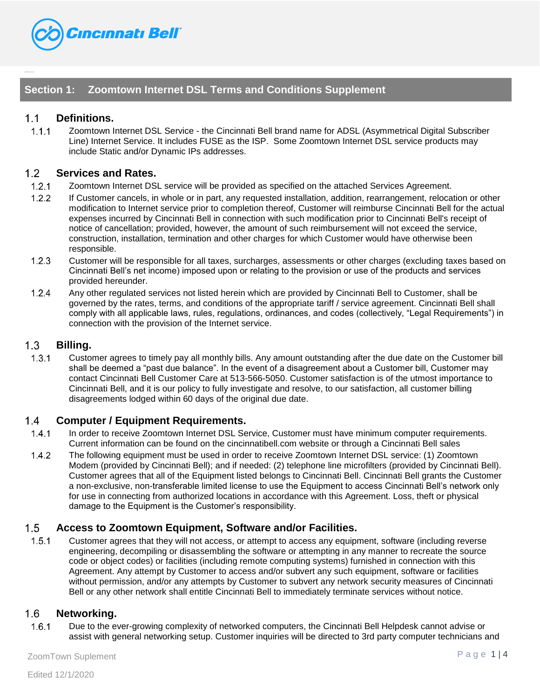

# **Section 1: Zoomtown Internet DSL Terms and Conditions Supplement**

# $1.1$ **Definitions.**

 $1.1.1$ Zoomtown Internet DSL Service - the Cincinnati Bell brand name for ADSL (Asymmetrical Digital Subscriber Line) Internet Service. It includes FUSE as the ISP. Some Zoomtown Internet DSL service products may include Static and/or Dynamic IPs addresses.

#### $1.2$ **Services and Rates.**

- $1.2.1$ Zoomtown Internet DSL service will be provided as specified on the attached Services Agreement.
- $1.2.2$ If Customer cancels, in whole or in part, any requested installation, addition, rearrangement, relocation or other modification to Internet service prior to completion thereof, Customer will reimburse Cincinnati Bell for the actual expenses incurred by Cincinnati Bell in connection with such modification prior to Cincinnati Bell's receipt of notice of cancellation; provided, however, the amount of such reimbursement will not exceed the service, construction, installation, termination and other charges for which Customer would have otherwise been responsible.
- $1.2.3$ Customer will be responsible for all taxes, surcharges, assessments or other charges (excluding taxes based on Cincinnati Bell's net income) imposed upon or relating to the provision or use of the products and services provided hereunder.
- $1.2.4$ Any other regulated services not listed herein which are provided by Cincinnati Bell to Customer, shall be governed by the rates, terms, and conditions of the appropriate tariff / service agreement. Cincinnati Bell shall comply with all applicable laws, rules, regulations, ordinances, and codes (collectively, "Legal Requirements") in connection with the provision of the Internet service.

# $1.3$ **Billing.**

 $1.3.1$ Customer agrees to timely pay all monthly bills. Any amount outstanding after the due date on the Customer bill shall be deemed a "past due balance". In the event of a disagreement about a Customer bill, Customer may contact Cincinnati Bell Customer Care at 513-566-5050. Customer satisfaction is of the utmost importance to Cincinnati Bell, and it is our policy to fully investigate and resolve, to our satisfaction, all customer billing disagreements lodged within 60 days of the original due date.

# $1.4$ **Computer / Equipment Requirements.**

- $1.4.1$ In order to receive Zoomtown Internet DSL Service, Customer must have minimum computer requirements. Current information can be found on the cincinnatibell.com website or through a Cincinnati Bell sales
- $1.4.2$ The following equipment must be used in order to receive Zoomtown Internet DSL service: (1) Zoomtown Modem (provided by Cincinnati Bell); and if needed: (2) telephone line microfilters (provided by Cincinnati Bell). Customer agrees that all of the Equipment listed belongs to Cincinnati Bell. Cincinnati Bell grants the Customer a non-exclusive, non-transferable limited license to use the Equipment to access Cincinnati Bell's network only for use in connecting from authorized locations in accordance with this Agreement. Loss, theft or physical damage to the Equipment is the Customer's responsibility.

### $1.5$ **Access to Zoomtown Equipment, Software and/or Facilities.**

 $1.5.1$ Customer agrees that they will not access, or attempt to access any equipment, software (including reverse engineering, decompiling or disassembling the software or attempting in any manner to recreate the source code or object codes) or facilities (including remote computing systems) furnished in connection with this Agreement. Any attempt by Customer to access and/or subvert any such equipment, software or facilities without permission, and/or any attempts by Customer to subvert any network security measures of Cincinnati Bell or any other network shall entitle Cincinnati Bell to immediately terminate services without notice.

#### $1.6$ **Networking.**

 $1.6.1$ Due to the ever-growing complexity of networked computers, the Cincinnati Bell Helpdesk cannot advise or assist with general networking setup. Customer inquiries will be directed to 3rd party computer technicians and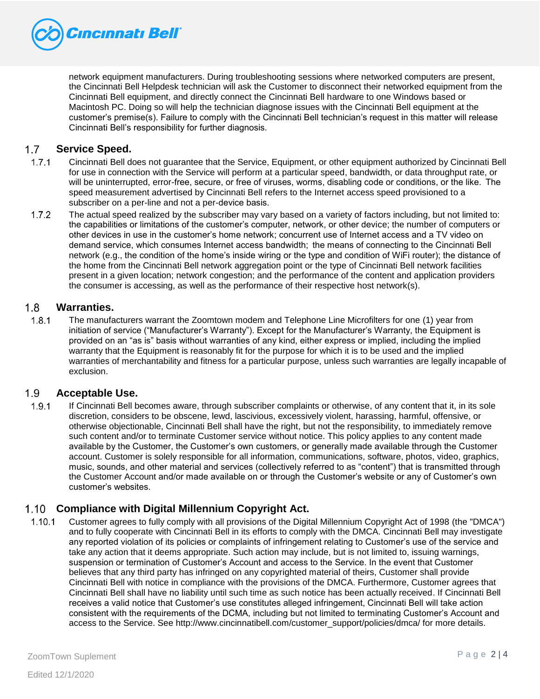

network equipment manufacturers. During troubleshooting sessions where networked computers are present, the Cincinnati Bell Helpdesk technician will ask the Customer to disconnect their networked equipment from the Cincinnati Bell equipment, and directly connect the Cincinnati Bell hardware to one Windows based or Macintosh PC. Doing so will help the technician diagnose issues with the Cincinnati Bell equipment at the customer's premise(s). Failure to comply with the Cincinnati Bell technician's request in this matter will release Cincinnati Bell's responsibility for further diagnosis.

## $1.7$ **Service Speed.**

- $1.7.1$ Cincinnati Bell does not guarantee that the Service, Equipment, or other equipment authorized by Cincinnati Bell for use in connection with the Service will perform at a particular speed, bandwidth, or data throughput rate, or will be uninterrupted, error-free, secure, or free of viruses, worms, disabling code or conditions, or the like.  The speed measurement advertised by Cincinnati Bell refers to the Internet access speed provisioned to a subscriber on a per-line and not a per-device basis.
- $1.7.2$ The actual speed realized by the subscriber may vary based on a variety of factors including, but not limited to: the capabilities or limitations of the customer's computer, network, or other device; the number of computers or other devices in use in the customer's home network; concurrent use of Internet access and a TV video on demand service, which consumes Internet access bandwidth;  the means of connecting to the Cincinnati Bell network (e.g., the condition of the home's inside wiring or the type and condition of WiFi router); the distance of the home from the Cincinnati Bell network aggregation point or the type of Cincinnati Bell network facilities present in a given location; network congestion; and the performance of the content and application providers the consumer is accessing, as well as the performance of their respective host network(s).

#### $1.8$ **Warranties.**

 $1.8.1$ The manufacturers warrant the Zoomtown modem and Telephone Line Microfilters for one (1) year from initiation of service ("Manufacturer's Warranty"). Except for the Manufacturer's Warranty, the Equipment is provided on an "as is" basis without warranties of any kind, either express or implied, including the implied warranty that the Equipment is reasonably fit for the purpose for which it is to be used and the implied warranties of merchantability and fitness for a particular purpose, unless such warranties are legally incapable of exclusion.

## $1.9$ **Acceptable Use.**

 $1.9.1$ If Cincinnati Bell becomes aware, through subscriber complaints or otherwise, of any content that it, in its sole discretion, considers to be obscene, lewd, lascivious, excessively violent, harassing, harmful, offensive, or otherwise objectionable, Cincinnati Bell shall have the right, but not the responsibility, to immediately remove such content and/or to terminate Customer service without notice. This policy applies to any content made available by the Customer, the Customer's own customers, or generally made available through the Customer account. Customer is solely responsible for all information, communications, software, photos, video, graphics, music, sounds, and other material and services (collectively referred to as "content") that is transmitted through the Customer Account and/or made available on or through the Customer's website or any of Customer's own customer's websites.

# **Compliance with Digital Millennium Copyright Act.**

 $1.10.1$ Customer agrees to fully comply with all provisions of the Digital Millennium Copyright Act of 1998 (the "DMCA") and to fully cooperate with Cincinnati Bell in its efforts to comply with the DMCA. Cincinnati Bell may investigate any reported violation of its policies or complaints of infringement relating to Customer's use of the service and take any action that it deems appropriate. Such action may include, but is not limited to, issuing warnings, suspension or termination of Customer's Account and access to the Service. In the event that Customer believes that any third party has infringed on any copyrighted material of theirs, Customer shall provide Cincinnati Bell with notice in compliance with the provisions of the DMCA. Furthermore, Customer agrees that Cincinnati Bell shall have no liability until such time as such notice has been actually received. If Cincinnati Bell receives a valid notice that Customer's use constitutes alleged infringement, Cincinnati Bell will take action consistent with the requirements of the DCMA, including but not limited to terminating Customer's Account and access to the Service. See http://www.cincinnatibell.com/customer\_support/policies/dmca/ for more details.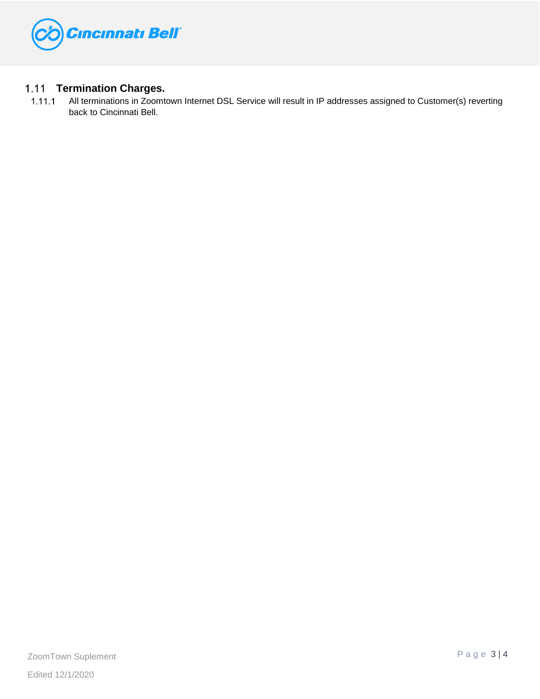

# **Termination Charges.**

All terminations in Zoomtown Internet DSL Service will result in IP addresses assigned to Customer(s) reverting  $1.11.1$ back to Cincinnati Bell.